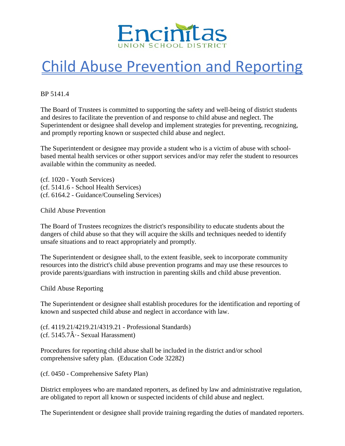

## Child Abuse Prevention and Reporting

BP 5141.4

The Board of Trustees is committed to supporting the safety and well-being of district students and desires to facilitate the prevention of and response to child abuse and neglect. The Superintendent or designee shall develop and implement strategies for preventing, recognizing, and promptly reporting known or suspected child abuse and neglect.

The Superintendent or designee may provide a student who is a victim of abuse with schoolbased mental health services or other support services and/or may refer the student to resources available within the community as needed.

(cf. 1020 - Youth Services) (cf. 5141.6 - School Health Services) (cf. 6164.2 - Guidance/Counseling Services)

Child Abuse Prevention

The Board of Trustees recognizes the district's responsibility to educate students about the dangers of child abuse so that they will acquire the skills and techniques needed to identify unsafe situations and to react appropriately and promptly.

The Superintendent or designee shall, to the extent feasible, seek to incorporate community resources into the district's child abuse prevention programs and may use these resources to provide parents/guardians with instruction in parenting skills and child abuse prevention.

Child Abuse Reporting

The Superintendent or designee shall establish procedures for the identification and reporting of known and suspected child abuse and neglect in accordance with law.

(cf. 4119.21/4219.21/4319.21 - Professional Standards) (cf.  $5145.7\hat{A}$  - Sexual Harassment)

Procedures for reporting child abuse shall be included in the district and/or school comprehensive safety plan. (Education Code 32282)

(cf. 0450 - Comprehensive Safety Plan)

District employees who are mandated reporters, as defined by law and administrative regulation, are obligated to report all known or suspected incidents of child abuse and neglect.

The Superintendent or designee shall provide training regarding the duties of mandated reporters.